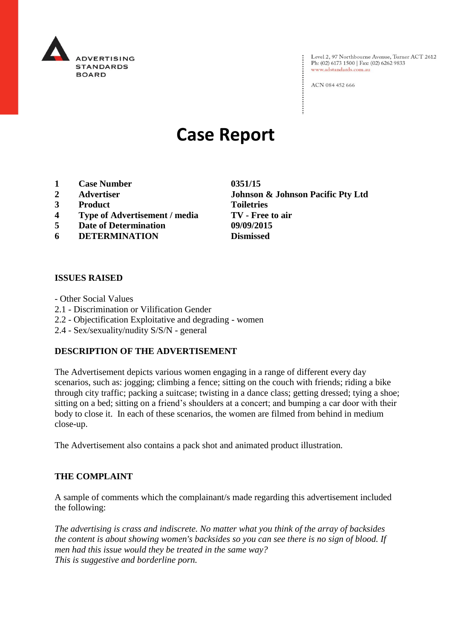

Level 2, 97 Northbourne Avenue, Turner ACT 2612<br>Ph: (02) 6173 1500 | Fax: (02) 6262 9833 www.adstandards.com.au

ACN 084 452 666

# **Case Report**

- **1 Case Number 0351/15**
- 
- **3 Product Toiletries**
- **4 Type of Advertisement / media TV - Free to air**
- **5 Date of Determination 09/09/2015**
- **6 DETERMINATION Dismissed**

## **ISSUES RAISED**

- Other Social Values
- 2.1 Discrimination or Vilification Gender
- 2.2 Objectification Exploitative and degrading women
- 2.4 Sex/sexuality/nudity S/S/N general

## **DESCRIPTION OF THE ADVERTISEMENT**

The Advertisement depicts various women engaging in a range of different every day scenarios, such as: jogging; climbing a fence; sitting on the couch with friends; riding a bike through city traffic; packing a suitcase; twisting in a dance class; getting dressed; tying a shoe; sitting on a bed; sitting on a friend's shoulders at a concert; and bumping a car door with their body to close it. In each of these scenarios, the women are filmed from behind in medium close-up.

The Advertisement also contains a pack shot and animated product illustration.

## **THE COMPLAINT**

A sample of comments which the complainant/s made regarding this advertisement included the following:

*The advertising is crass and indiscrete. No matter what you think of the array of backsides the content is about showing women's backsides so you can see there is no sign of blood. If men had this issue would they be treated in the same way? This is suggestive and borderline porn.*

**2 Advertiser Johnson & Johnson Pacific Pty Ltd**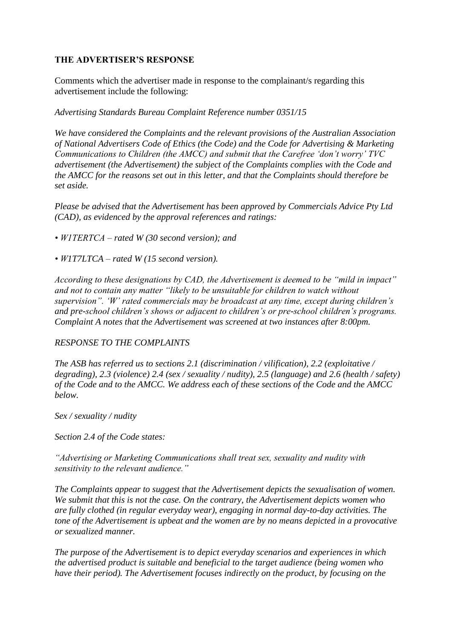# **THE ADVERTISER'S RESPONSE**

Comments which the advertiser made in response to the complainant/s regarding this advertisement include the following:

*Advertising Standards Bureau Complaint Reference number 0351/15*

*We have considered the Complaints and the relevant provisions of the Australian Association of National Advertisers Code of Ethics (the Code) and the Code for Advertising & Marketing Communications to Children (the AMCC) and submit that the Carefree 'don't worry' TVC advertisement (the Advertisement) the subject of the Complaints complies with the Code and the AMCC for the reasons set out in this letter, and that the Complaints should therefore be set aside.* 

*Please be advised that the Advertisement has been approved by Commercials Advice Pty Ltd (CAD), as evidenced by the approval references and ratings:*

*• W1TERTCA – rated W (30 second version); and*

*• W1T7LTCA – rated W (15 second version).*

*According to these designations by CAD, the Advertisement is deemed to be "mild in impact" and not to contain any matter "likely to be unsuitable for children to watch without supervision". 'W' rated commercials may be broadcast at any time, except during children's and pre-school children's shows or adjacent to children's or pre-school children's programs. Complaint A notes that the Advertisement was screened at two instances after 8:00pm.* 

# *RESPONSE TO THE COMPLAINTS*

*The ASB has referred us to sections 2.1 (discrimination / vilification), 2.2 (exploitative / degrading), 2.3 (violence) 2.4 (sex / sexuality / nudity), 2.5 (language) and 2.6 (health / safety) of the Code and to the AMCC. We address each of these sections of the Code and the AMCC below.*

*Sex / sexuality / nudity*

*Section 2.4 of the Code states:*

*"Advertising or Marketing Communications shall treat sex, sexuality and nudity with sensitivity to the relevant audience."* 

*The Complaints appear to suggest that the Advertisement depicts the sexualisation of women. We submit that this is not the case. On the contrary, the Advertisement depicts women who are fully clothed (in regular everyday wear), engaging in normal day-to-day activities. The tone of the Advertisement is upbeat and the women are by no means depicted in a provocative or sexualized manner.* 

*The purpose of the Advertisement is to depict everyday scenarios and experiences in which the advertised product is suitable and beneficial to the target audience (being women who have their period). The Advertisement focuses indirectly on the product, by focusing on the*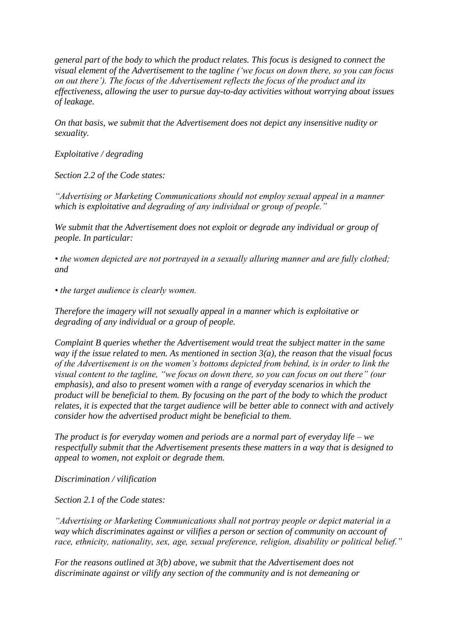*general part of the body to which the product relates. This focus is designed to connect the visual element of the Advertisement to the tagline ('we focus on down there, so you can focus on out there'). The focus of the Advertisement reflects the focus of the product and its effectiveness, allowing the user to pursue day-to-day activities without worrying about issues of leakage.*

*On that basis, we submit that the Advertisement does not depict any insensitive nudity or sexuality.* 

*Exploitative / degrading*

*Section 2.2 of the Code states:*

*"Advertising or Marketing Communications should not employ sexual appeal in a manner which is exploitative and degrading of any individual or group of people."*

*We submit that the Advertisement does not exploit or degrade any individual or group of people. In particular:*

*• the women depicted are not portrayed in a sexually alluring manner and are fully clothed; and*

*• the target audience is clearly women.*

*Therefore the imagery will not sexually appeal in a manner which is exploitative or degrading of any individual or a group of people.* 

*Complaint B queries whether the Advertisement would treat the subject matter in the same way if the issue related to men. As mentioned in section 3(a), the reason that the visual focus of the Advertisement is on the women's bottoms depicted from behind, is in order to link the visual content to the tagline, "we focus on down there, so you can focus on out there" (our emphasis), and also to present women with a range of everyday scenarios in which the product will be beneficial to them. By focusing on the part of the body to which the product relates, it is expected that the target audience will be better able to connect with and actively consider how the advertised product might be beneficial to them.* 

*The product is for everyday women and periods are a normal part of everyday life – we respectfully submit that the Advertisement presents these matters in a way that is designed to appeal to women, not exploit or degrade them.*

*Discrimination / vilification*

*Section 2.1 of the Code states:*

*"Advertising or Marketing Communications shall not portray people or depict material in a way which discriminates against or vilifies a person or section of community on account of race, ethnicity, nationality, sex, age, sexual preference, religion, disability or political belief."*

*For the reasons outlined at 3(b) above, we submit that the Advertisement does not discriminate against or vilify any section of the community and is not demeaning or*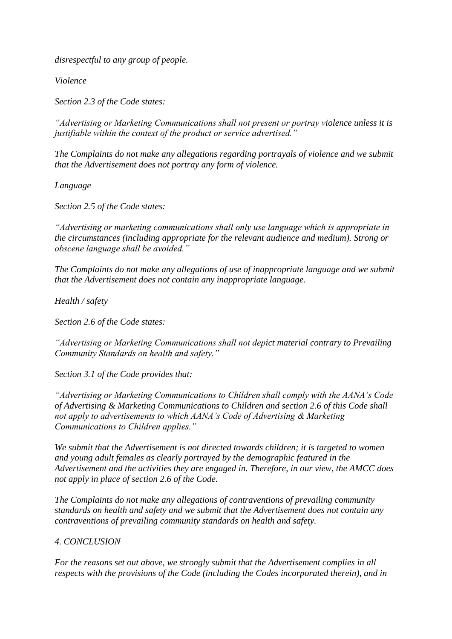*disrespectful to any group of people.* 

*Violence*

*Section 2.3 of the Code states:*

*"Advertising or Marketing Communications shall not present or portray violence unless it is justifiable within the context of the product or service advertised."*

*The Complaints do not make any allegations regarding portrayals of violence and we submit that the Advertisement does not portray any form of violence.*

*Language*

*Section 2.5 of the Code states:*

*"Advertising or marketing communications shall only use language which is appropriate in the circumstances (including appropriate for the relevant audience and medium). Strong or obscene language shall be avoided."*

*The Complaints do not make any allegations of use of inappropriate language and we submit that the Advertisement does not contain any inappropriate language.* 

*Health / safety*

*Section 2.6 of the Code states:*

*"Advertising or Marketing Communications shall not depict material contrary to Prevailing Community Standards on health and safety."*

*Section 3.1 of the Code provides that:*

*"Advertising or Marketing Communications to Children shall comply with the AANA's Code of Advertising & Marketing Communications to Children and section 2.6 of this Code shall not apply to advertisements to which AANA's Code of Advertising & Marketing Communications to Children applies."*

*We submit that the Advertisement is not directed towards children; it is targeted to women and young adult females as clearly portrayed by the demographic featured in the Advertisement and the activities they are engaged in. Therefore, in our view, the AMCC does not apply in place of section 2.6 of the Code.*

*The Complaints do not make any allegations of contraventions of prevailing community standards on health and safety and we submit that the Advertisement does not contain any contraventions of prevailing community standards on health and safety.* 

# *4. CONCLUSION*

*For the reasons set out above, we strongly submit that the Advertisement complies in all respects with the provisions of the Code (including the Codes incorporated therein), and in*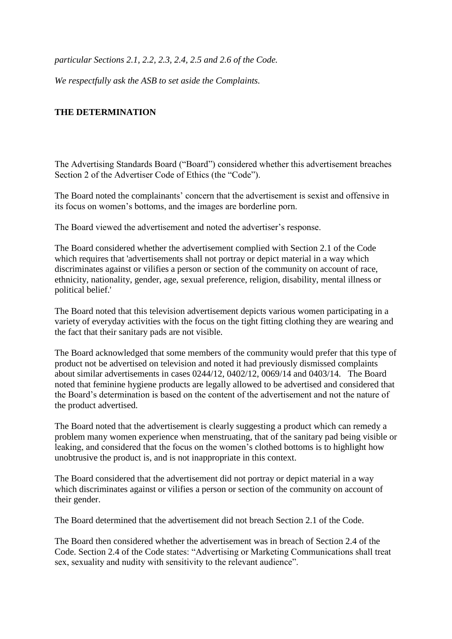*particular Sections 2.1, 2.2, 2.3, 2.4, 2.5 and 2.6 of the Code.* 

*We respectfully ask the ASB to set aside the Complaints.*

# **THE DETERMINATION**

The Advertising Standards Board ("Board") considered whether this advertisement breaches Section 2 of the Advertiser Code of Ethics (the "Code").

The Board noted the complainants' concern that the advertisement is sexist and offensive in its focus on women's bottoms, and the images are borderline porn.

The Board viewed the advertisement and noted the advertiser's response.

The Board considered whether the advertisement complied with Section 2.1 of the Code which requires that 'advertisements shall not portray or depict material in a way which discriminates against or vilifies a person or section of the community on account of race, ethnicity, nationality, gender, age, sexual preference, religion, disability, mental illness or political belief.'

The Board noted that this television advertisement depicts various women participating in a variety of everyday activities with the focus on the tight fitting clothing they are wearing and the fact that their sanitary pads are not visible.

The Board acknowledged that some members of the community would prefer that this type of product not be advertised on television and noted it had previously dismissed complaints about similar advertisements in cases 0244/12, 0402/12, 0069/14 and 0403/14. The Board noted that feminine hygiene products are legally allowed to be advertised and considered that the Board's determination is based on the content of the advertisement and not the nature of the product advertised.

The Board noted that the advertisement is clearly suggesting a product which can remedy a problem many women experience when menstruating, that of the sanitary pad being visible or leaking, and considered that the focus on the women's clothed bottoms is to highlight how unobtrusive the product is, and is not inappropriate in this context.

The Board considered that the advertisement did not portray or depict material in a way which discriminates against or vilifies a person or section of the community on account of their gender.

The Board determined that the advertisement did not breach Section 2.1 of the Code.

The Board then considered whether the advertisement was in breach of Section 2.4 of the Code. Section 2.4 of the Code states: "Advertising or Marketing Communications shall treat sex, sexuality and nudity with sensitivity to the relevant audience".